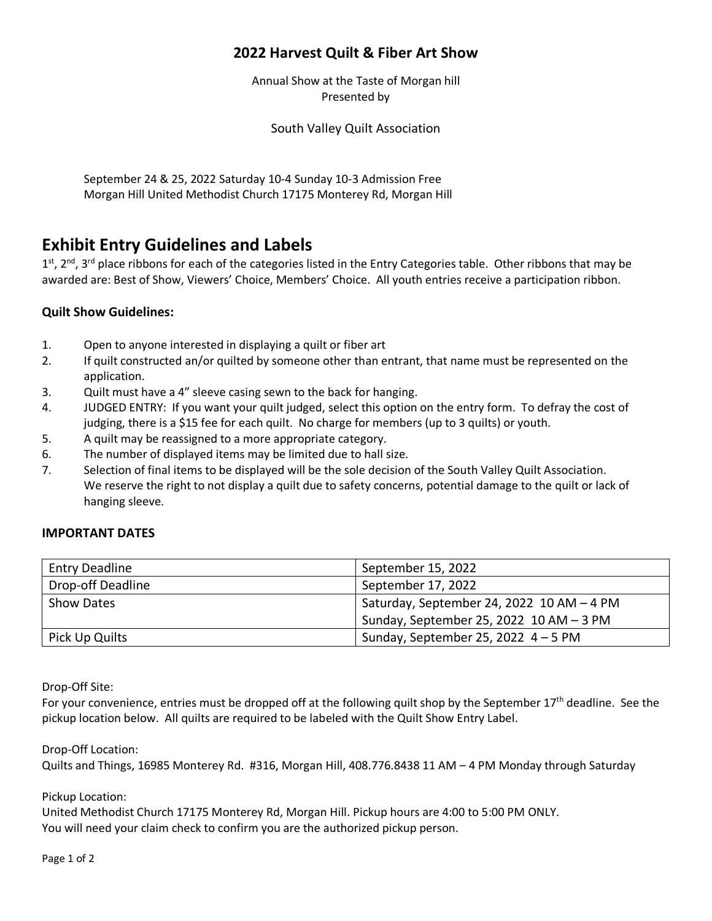## **2022 Harvest Quilt & Fiber Art Show**

Annual Show at the Taste of Morgan hill Presented by

South Valley Quilt Association

September 24 & 25, 2022 Saturday 10-4 Sunday 10-3 Admission Free Morgan Hill United Methodist Church 17175 Monterey Rd, Morgan Hill

# **Exhibit Entry Guidelines and Labels**

 $1^{st}$ ,  $2^{nd}$ ,  $3^{rd}$  place ribbons for each of the categories listed in the Entry Categories table. Other ribbons that may be awarded are: Best of Show, Viewers' Choice, Members' Choice. All youth entries receive a participation ribbon.

#### **Quilt Show Guidelines:**

- 1. Open to anyone interested in displaying a quilt or fiber art
- 2. If quilt constructed an/or quilted by someone other than entrant, that name must be represented on the application.
- 3. Quilt must have a 4" sleeve casing sewn to the back for hanging.
- 4. JUDGED ENTRY: If you want your quilt judged, select this option on the entry form. To defray the cost of judging, there is a \$15 fee for each quilt. No charge for members (up to 3 quilts) or youth.
- 5. A quilt may be reassigned to a more appropriate category.
- 6. The number of displayed items may be limited due to hall size.
- 7. Selection of final items to be displayed will be the sole decision of the South Valley Quilt Association. We reserve the right to not display a quilt due to safety concerns, potential damage to the quilt or lack of hanging sleeve.

#### **IMPORTANT DATES**

| <b>Entry Deadline</b> | September 15, 2022                          |
|-----------------------|---------------------------------------------|
| Drop-off Deadline     | September 17, 2022                          |
| <b>Show Dates</b>     | Saturday, September 24, 2022 10 AM - 4 PM   |
|                       | Sunday, September 25, 2022 $10$ AM $-$ 3 PM |
| Pick Up Quilts        | Sunday, September 25, 2022 $4 - 5$ PM       |

Drop-Off Site:

For your convenience, entries must be dropped off at the following quilt shop by the September 17<sup>th</sup> deadline. See the pickup location below. All quilts are required to be labeled with the Quilt Show Entry Label.

Drop-Off Location:

Quilts and Things, 16985 Monterey Rd. #316, Morgan Hill, 408.776.8438 11 AM – 4 PM Monday through Saturday

Pickup Location: United Methodist Church 17175 Monterey Rd, Morgan Hill. Pickup hours are 4:00 to 5:00 PM ONLY. You will need your claim check to confirm you are the authorized pickup person.